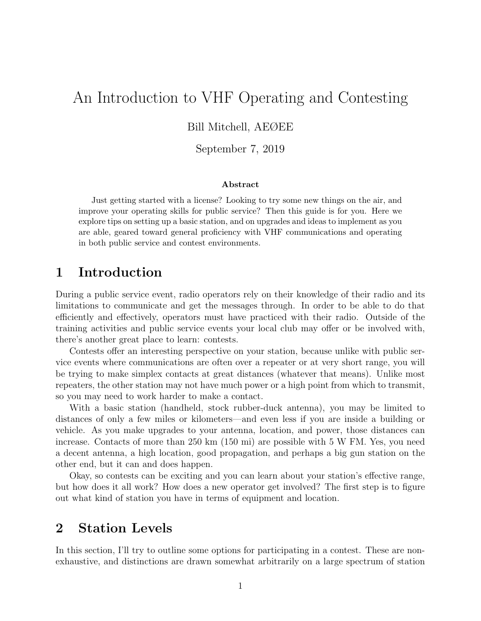# An Introduction to VHF Operating and Contesting

Bill Mitchell, AEØEE

September 7, 2019

#### Abstract

Just getting started with a license? Looking to try some new things on the air, and improve your operating skills for public service? Then this guide is for you. Here we explore tips on setting up a basic station, and on upgrades and ideas to implement as you are able, geared toward general proficiency with VHF communications and operating in both public service and contest environments.

### 1 Introduction

During a public service event, radio operators rely on their knowledge of their radio and its limitations to communicate and get the messages through. In order to be able to do that efficiently and effectively, operators must have practiced with their radio. Outside of the training activities and public service events your local club may offer or be involved with, there's another great place to learn: contests.

Contests offer an interesting perspective on your station, because unlike with public service events where communications are often over a repeater or at very short range, you will be trying to make simplex contacts at great distances (whatever that means). Unlike most repeaters, the other station may not have much power or a high point from which to transmit, so you may need to work harder to make a contact.

With a basic station (handheld, stock rubber-duck antenna), you may be limited to distances of only a few miles or kilometers—and even less if you are inside a building or vehicle. As you make upgrades to your antenna, location, and power, those distances can increase. Contacts of more than 250 km (150 mi) are possible with 5 W FM. Yes, you need a decent antenna, a high location, good propagation, and perhaps a big gun station on the other end, but it can and does happen.

Okay, so contests can be exciting and you can learn about your station's effective range, but how does it all work? How does a new operator get involved? The first step is to figure out what kind of station you have in terms of equipment and location.

## 2 Station Levels

In this section, I'll try to outline some options for participating in a contest. These are nonexhaustive, and distinctions are drawn somewhat arbitrarily on a large spectrum of station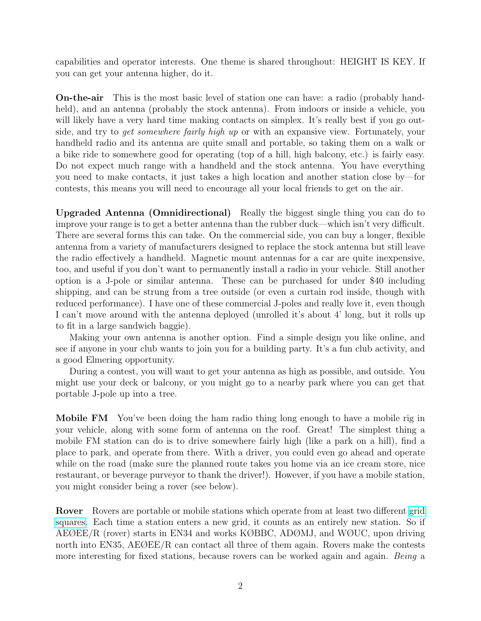capabilities and operator interests. One theme is shared throughout: HEIGHT IS KEY. If you can get your antenna higher, do it.

On-the-air This is the most basic level of station one can have: a radio (probably handheld), and an antenna (probably the stock antenna). From indoors or inside a vehicle, you will likely have a very hard time making contacts on simplex. It's really best if you go outside, and try to *get somewhere fairly high up* or with an expansive view. Fortunately, your handheld radio and its antenna are quite small and portable, so taking them on a walk or a bike ride to somewhere good for operating (top of a hill, high balcony, etc.) is fairly easy. Do not expect much range with a handheld and the stock antenna. You have everything you need to make contacts, it just takes a high location and another station close by—for contests, this means you will need to encourage all your local friends to get on the air.

Upgraded Antenna (Omnidirectional) Really the biggest single thing you can do to improve your range is to get a better antenna than the rubber duck—which isn't very difficult. There are several forms this can take. On the commercial side, you can buy a longer, flexible antenna from a variety of manufacturers designed to replace the stock antenna but still leave the radio effectively a handheld. Magnetic mount antennas for a car are quite inexpensive, too, and useful if you don't want to permanently install a radio in your vehicle. Still another option is a J-pole or similar antenna. These can be purchased for under \$40 including shipping, and can be strung from a tree outside (or even a curtain rod inside, though with reduced performance). I have one of these commercial J-poles and really love it, even though I can't move around with the antenna deployed (unrolled it's about 4' long, but it rolls up to fit in a large sandwich baggie).

Making your own antenna is another option. Find a simple design you like online, and see if anyone in your club wants to join you for a building party. It's a fun club activity, and a good Elmering opportunity.

During a contest, you will want to get your antenna as high as possible, and outside. You might use your deck or balcony, or you might go to a nearby park where you can get that portable J-pole up into a tree.

Mobile FM You've been doing the ham radio thing long enough to have a mobile rig in your vehicle, along with some form of antenna on the roof. Great! The simplest thing a mobile FM station can do is to drive somewhere fairly high (like a park on a hill), find a place to park, and operate from there. With a driver, you could even go ahead and operate while on the road (make sure the planned route takes you home via an ice cream store, nice restaurant, or beverage purveyor to thank the driver!). However, if you have a mobile station, you might consider being a rover (see below).

Rover Rovers are portable or mobile stations which operate from at least two different [grid](http://www.arrl.org/grid-squares) [squares.](http://www.arrl.org/grid-squares) Each time a station enters a new grid, it counts as an entirely new station. So if AEØEE/R (rover) starts in EN34 and works KØBBC, ADØMJ, and WØUC, upon driving north into EN35, AEØEE/R can contact all three of them again. Rovers make the contests more interesting for fixed stations, because rovers can be worked again and again. Being a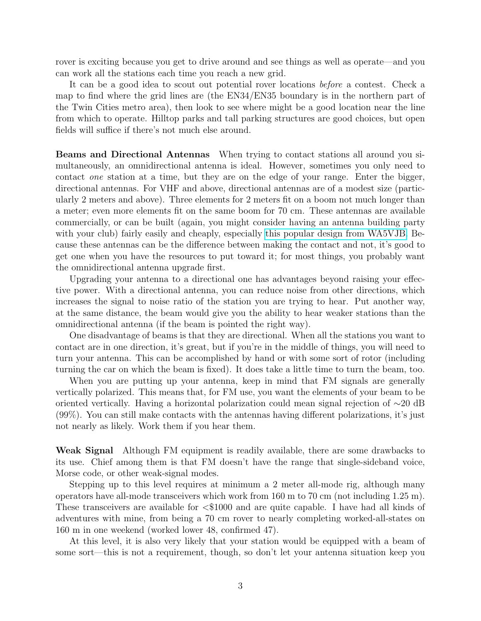rover is exciting because you get to drive around and see things as well as operate—and you can work all the stations each time you reach a new grid.

It can be a good idea to scout out potential rover locations before a contest. Check a map to find where the grid lines are (the EN34/EN35 boundary is in the northern part of the Twin Cities metro area), then look to see where might be a good location near the line from which to operate. Hilltop parks and tall parking structures are good choices, but open fields will suffice if there's not much else around.

Beams and Directional Antennas When trying to contact stations all around you simultaneously, an omnidirectional antenna is ideal. However, sometimes you only need to contact one station at a time, but they are on the edge of your range. Enter the bigger, directional antennas. For VHF and above, directional antennas are of a modest size (particularly 2 meters and above). Three elements for 2 meters fit on a boom not much longer than a meter; even more elements fit on the same boom for 70 cm. These antennas are available commercially, or can be built (again, you might consider having an antenna building party with your club) fairly easily and cheaply, especially [this popular design from WA5VJB.](http://www.wa5vjb.com/yagi-pdf/cheapyagi.pdf) Because these antennas can be the difference between making the contact and not, it's good to get one when you have the resources to put toward it; for most things, you probably want the omnidirectional antenna upgrade first.

Upgrading your antenna to a directional one has advantages beyond raising your effective power. With a directional antenna, you can reduce noise from other directions, which increases the signal to noise ratio of the station you are trying to hear. Put another way, at the same distance, the beam would give you the ability to hear weaker stations than the omnidirectional antenna (if the beam is pointed the right way).

One disadvantage of beams is that they are directional. When all the stations you want to contact are in one direction, it's great, but if you're in the middle of things, you will need to turn your antenna. This can be accomplished by hand or with some sort of rotor (including turning the car on which the beam is fixed). It does take a little time to turn the beam, too.

When you are putting up your antenna, keep in mind that FM signals are generally vertically polarized. This means that, for FM use, you want the elements of your beam to be oriented vertically. Having a horizontal polarization could mean signal rejection of ∼20 dB (99%). You can still make contacts with the antennas having different polarizations, it's just not nearly as likely. Work them if you hear them.

Weak Signal Although FM equipment is readily available, there are some drawbacks to its use. Chief among them is that FM doesn't have the range that single-sideband voice, Morse code, or other weak-signal modes.

Stepping up to this level requires at minimum a 2 meter all-mode rig, although many operators have all-mode transceivers which work from 160 m to 70 cm (not including 1.25 m). These transceivers are available for <\$1000 and are quite capable. I have had all kinds of adventures with mine, from being a 70 cm rover to nearly completing worked-all-states on 160 m in one weekend (worked lower 48, confirmed 47).

At this level, it is also very likely that your station would be equipped with a beam of some sort—this is not a requirement, though, so don't let your antenna situation keep you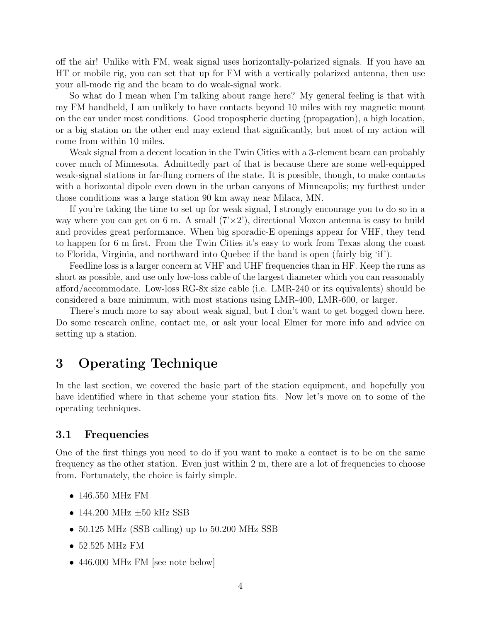off the air! Unlike with FM, weak signal uses horizontally-polarized signals. If you have an HT or mobile rig, you can set that up for FM with a vertically polarized antenna, then use your all-mode rig and the beam to do weak-signal work.

So what do I mean when I'm talking about range here? My general feeling is that with my FM handheld, I am unlikely to have contacts beyond 10 miles with my magnetic mount on the car under most conditions. Good tropospheric ducting (propagation), a high location, or a big station on the other end may extend that significantly, but most of my action will come from within 10 miles.

Weak signal from a decent location in the Twin Cities with a 3-element beam can probably cover much of Minnesota. Admittedly part of that is because there are some well-equipped weak-signal stations in far-flung corners of the state. It is possible, though, to make contacts with a horizontal dipole even down in the urban canyons of Minneapolis; my furthest under those conditions was a large station 90 km away near Milaca, MN.

If you're taking the time to set up for weak signal, I strongly encourage you to do so in a way where you can get on 6 m. A small  $(7 \times 2)$ , directional Moxon antenna is easy to build and provides great performance. When big sporadic-E openings appear for VHF, they tend to happen for 6 m first. From the Twin Cities it's easy to work from Texas along the coast to Florida, Virginia, and northward into Quebec if the band is open (fairly big 'if').

Feedline loss is a larger concern at VHF and UHF frequencies than in HF. Keep the runs as short as possible, and use only low-loss cable of the largest diameter which you can reasonably afford/accommodate. Low-loss RG-8x size cable (i.e. LMR-240 or its equivalents) should be considered a bare minimum, with most stations using LMR-400, LMR-600, or larger.

There's much more to say about weak signal, but I don't want to get bogged down here. Do some research online, contact me, or ask your local Elmer for more info and advice on setting up a station.

## 3 Operating Technique

In the last section, we covered the basic part of the station equipment, and hopefully you have identified where in that scheme your station fits. Now let's move on to some of the operating techniques.

### 3.1 Frequencies

One of the first things you need to do if you want to make a contact is to be on the same frequency as the other station. Even just within 2 m, there are a lot of frequencies to choose from. Fortunately, the choice is fairly simple.

- 146.550 MHz FM
- 144.200 MHz  $\pm 50$  kHz SSB
- 50.125 MHz (SSB calling) up to 50.200 MHz SSB
- 52.525 MHz FM
- 446.000 MHz FM [see note below]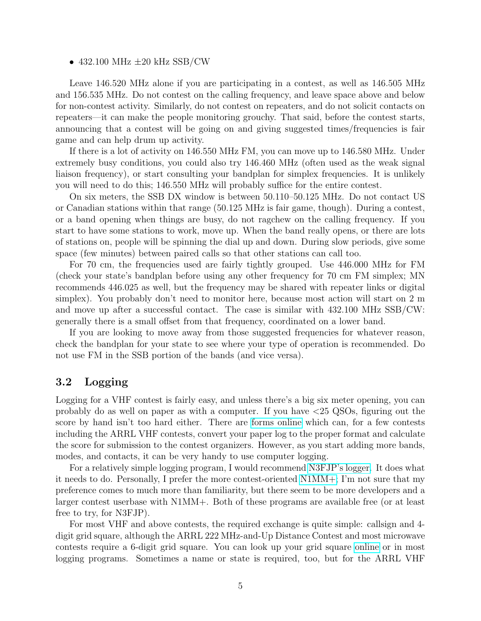#### • 432.100 MHz  $\pm 20$  kHz SSB/CW

Leave 146.520 MHz alone if you are participating in a contest, as well as 146.505 MHz and 156.535 MHz. Do not contest on the calling frequency, and leave space above and below for non-contest activity. Similarly, do not contest on repeaters, and do not solicit contacts on repeaters—it can make the people monitoring grouchy. That said, before the contest starts, announcing that a contest will be going on and giving suggested times/frequencies is fair game and can help drum up activity.

If there is a lot of activity on 146.550 MHz FM, you can move up to 146.580 MHz. Under extremely busy conditions, you could also try 146.460 MHz (often used as the weak signal liaison frequency), or start consulting your bandplan for simplex frequencies. It is unlikely you will need to do this; 146.550 MHz will probably suffice for the entire contest.

On six meters, the SSB DX window is between 50.110–50.125 MHz. Do not contact US or Canadian stations within that range (50.125 MHz is fair game, though). During a contest, or a band opening when things are busy, do not ragchew on the calling frequency. If you start to have some stations to work, move up. When the band really opens, or there are lots of stations on, people will be spinning the dial up and down. During slow periods, give some space (few minutes) between paired calls so that other stations can call too.

For 70 cm, the frequencies used are fairly tightly grouped. Use 446.000 MHz for FM (check your state's bandplan before using any other frequency for 70 cm FM simplex; MN recommends 446.025 as well, but the frequency may be shared with repeater links or digital simplex). You probably don't need to monitor here, because most action will start on 2 m and move up after a successful contact. The case is similar with 432.100 MHz SSB/CW: generally there is a small offset from that frequency, coordinated on a lower band.

If you are looking to move away from those suggested frequencies for whatever reason, check the bandplan for your state to see where your type of operation is recommended. Do not use FM in the SSB portion of the bands (and vice versa).

### 3.2 Logging

Logging for a VHF contest is fairly easy, and unless there's a big six meter opening, you can probably do as well on paper as with a computer. If you have <25 QSOs, figuring out the score by hand isn't too hard either. There are [forms online](http://www.b4h.net/cabvforms) which can, for a few contests including the ARRL VHF contests, convert your paper log to the proper format and calculate the score for submission to the contest organizers. However, as you start adding more bands, modes, and contacts, it can be very handy to use computer logging.

For a relatively simple logging program, I would recommend [N3FJP's logger.](http://www.n3fjp.com) It does what it needs to do. Personally, I prefer the more contest-oriented [N1MM+;](http://n1mm.hamdocs.com) I'm not sure that my preference comes to much more than familiarity, but there seem to be more developers and a larger contest userbase with N1MM+. Both of these programs are available free (or at least free to try, for N3FJP).

For most VHF and above contests, the required exchange is quite simple: callsign and 4 digit grid square, although the ARRL 222 MHz-and-Up Distance Contest and most microwave contests require a 6-digit grid square. You can look up your grid square [online](http://levinecentral.com/ham/grid_square.php) or in most logging programs. Sometimes a name or state is required, too, but for the ARRL VHF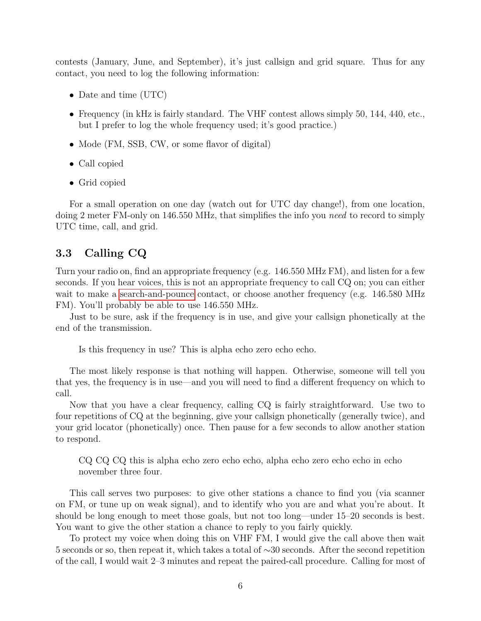contests (January, June, and September), it's just callsign and grid square. Thus for any contact, you need to log the following information:

- Date and time (UTC)
- Frequency (in kHz is fairly standard. The VHF contest allows simply 50, 144, 440, etc., but I prefer to log the whole frequency used; it's good practice.)
- Mode (FM, SSB, CW, or some flavor of digital)
- Call copied
- Grid copied

For a small operation on one day (watch out for UTC day change!), from one location, doing 2 meter FM-only on 146.550 MHz, that simplifies the info you need to record to simply UTC time, call, and grid.

#### 3.3 Calling CQ

Turn your radio on, find an appropriate frequency (e.g. 146.550 MHz FM), and listen for a few seconds. If you hear voices, this is not an appropriate frequency to call CQ on; you can either wait to make a [search-and-pounce](#page-6-0) contact, or choose another frequency (e.g. 146.580 MHz FM). You'll probably be able to use 146.550 MHz.

Just to be sure, ask if the frequency is in use, and give your callsign phonetically at the end of the transmission.

Is this frequency in use? This is alpha echo zero echo echo.

The most likely response is that nothing will happen. Otherwise, someone will tell you that yes, the frequency is in use—and you will need to find a different frequency on which to call.

Now that you have a clear frequency, calling CQ is fairly straightforward. Use two to four repetitions of CQ at the beginning, give your callsign phonetically (generally twice), and your grid locator (phonetically) once. Then pause for a few seconds to allow another station to respond.

CQ CQ CQ this is alpha echo zero echo echo, alpha echo zero echo echo in echo november three four.

This call serves two purposes: to give other stations a chance to find you (via scanner on FM, or tune up on weak signal), and to identify who you are and what you're about. It should be long enough to meet those goals, but not too long—under 15–20 seconds is best. You want to give the other station a chance to reply to you fairly quickly.

To protect my voice when doing this on VHF FM, I would give the call above then wait 5 seconds or so, then repeat it, which takes a total of ∼30 seconds. After the second repetition of the call, I would wait 2–3 minutes and repeat the paired-call procedure. Calling for most of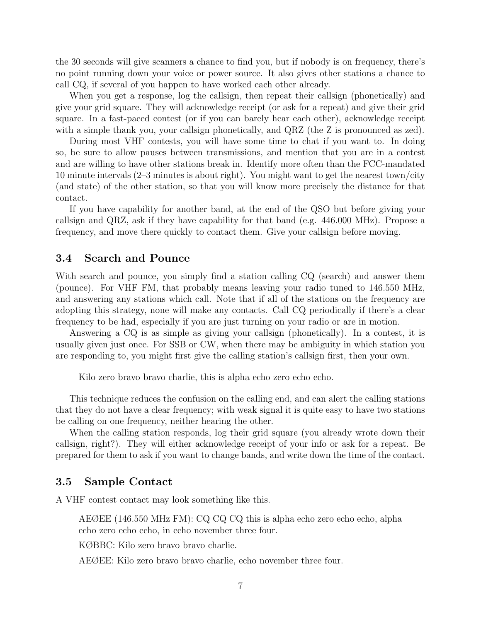the 30 seconds will give scanners a chance to find you, but if nobody is on frequency, there's no point running down your voice or power source. It also gives other stations a chance to call CQ, if several of you happen to have worked each other already.

When you get a response, log the callsign, then repeat their callsign (phonetically) and give your grid square. They will acknowledge receipt (or ask for a repeat) and give their grid square. In a fast-paced contest (or if you can barely hear each other), acknowledge receipt with a simple thank you, your callsign phonetically, and QRZ (the Z is pronounced as zed).

During most VHF contests, you will have some time to chat if you want to. In doing so, be sure to allow pauses between transmissions, and mention that you are in a contest and are willing to have other stations break in. Identify more often than the FCC-mandated 10 minute intervals (2–3 minutes is about right). You might want to get the nearest town/city (and state) of the other station, so that you will know more precisely the distance for that contact.

If you have capability for another band, at the end of the QSO but before giving your callsign and QRZ, ask if they have capability for that band (e.g. 446.000 MHz). Propose a frequency, and move there quickly to contact them. Give your callsign before moving.

#### <span id="page-6-0"></span>3.4 Search and Pounce

With search and pounce, you simply find a station calling  $CQ$  (search) and answer them (pounce). For VHF FM, that probably means leaving your radio tuned to 146.550 MHz, and answering any stations which call. Note that if all of the stations on the frequency are adopting this strategy, none will make any contacts. Call CQ periodically if there's a clear frequency to be had, especially if you are just turning on your radio or are in motion.

Answering a CQ is as simple as giving your callsign (phonetically). In a contest, it is usually given just once. For SSB or CW, when there may be ambiguity in which station you are responding to, you might first give the calling station's callsign first, then your own.

Kilo zero bravo bravo charlie, this is alpha echo zero echo echo.

This technique reduces the confusion on the calling end, and can alert the calling stations that they do not have a clear frequency; with weak signal it is quite easy to have two stations be calling on one frequency, neither hearing the other.

When the calling station responds, log their grid square (you already wrote down their callsign, right?). They will either acknowledge receipt of your info or ask for a repeat. Be prepared for them to ask if you want to change bands, and write down the time of the contact.

#### 3.5 Sample Contact

A VHF contest contact may look something like this.

AEØEE (146.550 MHz FM): CQ CQ CQ this is alpha echo zero echo echo, alpha echo zero echo echo, in echo november three four.

KØBBC: Kilo zero bravo bravo charlie.

AEØEE: Kilo zero bravo bravo charlie, echo november three four.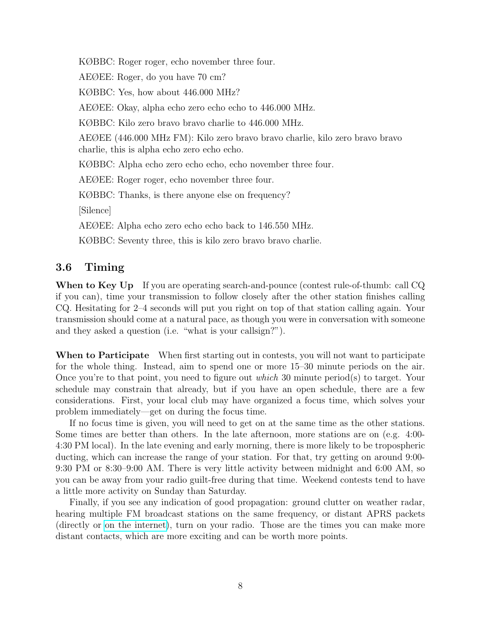KØBBC: Roger roger, echo november three four.

AEØEE: Roger, do you have 70 cm?

KØBBC: Yes, how about 446.000 MHz?

AEØEE: Okay, alpha echo zero echo echo to 446.000 MHz.

KØBBC: Kilo zero bravo bravo charlie to 446.000 MHz.

AEØEE (446.000 MHz FM): Kilo zero bravo bravo charlie, kilo zero bravo bravo charlie, this is alpha echo zero echo echo.

KØBBC: Alpha echo zero echo echo, echo november three four.

AEØEE: Roger roger, echo november three four.

KØBBC: Thanks, is there anyone else on frequency?

[Silence]

AEØEE: Alpha echo zero echo echo back to 146.550 MHz.

KØBBC: Seventy three, this is kilo zero bravo bravo charlie.

### 3.6 Timing

When to Key Up If you are operating search-and-pounce (contest rule-of-thumb: call CQ if you can), time your transmission to follow closely after the other station finishes calling CQ. Hesitating for 2–4 seconds will put you right on top of that station calling again. Your transmission should come at a natural pace, as though you were in conversation with someone and they asked a question (i.e. "what is your callsign?").

When to Participate When first starting out in contests, you will not want to participate for the whole thing. Instead, aim to spend one or more 15–30 minute periods on the air. Once you're to that point, you need to figure out which 30 minute period(s) to target. Your schedule may constrain that already, but if you have an open schedule, there are a few considerations. First, your local club may have organized a focus time, which solves your problem immediately—get on during the focus time.

If no focus time is given, you will need to get on at the same time as the other stations. Some times are better than others. In the late afternoon, more stations are on (e.g. 4:00- 4:30 PM local). In the late evening and early morning, there is more likely to be tropospheric ducting, which can increase the range of your station. For that, try getting on around 9:00- 9:30 PM or 8:30–9:00 AM. There is very little activity between midnight and 6:00 AM, so you can be away from your radio guilt-free during that time. Weekend contests tend to have a little more activity on Sunday than Saturday.

Finally, if you see any indication of good propagation: ground clutter on weather radar, hearing multiple FM broadcast stations on the same frequency, or distant APRS packets (directly or [on the internet\)](http://aprs.mountainlake.k12.mn.us), turn on your radio. Those are the times you can make more distant contacts, which are more exciting and can be worth more points.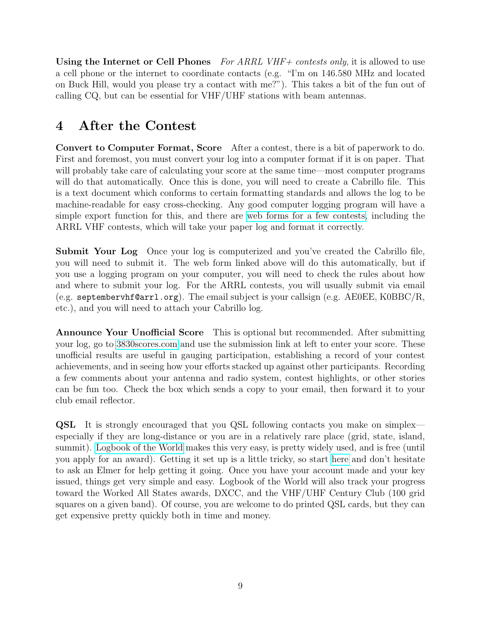Using the Internet or Cell Phones For ARRL VHF+ contests only, it is allowed to use a cell phone or the internet to coordinate contacts (e.g. "I'm on 146.580 MHz and located on Buck Hill, would you please try a contact with me?"). This takes a bit of the fun out of calling CQ, but can be essential for VHF/UHF stations with beam antennas.

# 4 After the Contest

Convert to Computer Format, Score After a contest, there is a bit of paperwork to do. First and foremost, you must convert your log into a computer format if it is on paper. That will probably take care of calculating your score at the same time—most computer programs will do that automatically. Once this is done, you will need to create a Cabrillo file. This is a text document which conforms to certain formatting standards and allows the log to be machine-readable for easy cross-checking. Any good computer logging program will have a simple export function for this, and there are [web forms for a few contests,](http://www.b4h.net/cabforms) including the ARRL VHF contests, which will take your paper log and format it correctly.

Submit Your Log Once your log is computerized and you've created the Cabrillo file, you will need to submit it. The web form linked above will do this automatically, but if you use a logging program on your computer, you will need to check the rules about how and where to submit your log. For the ARRL contests, you will usually submit via email (e.g. septembervhf@arrl.org). The email subject is your callsign (e.g. AE0EE, K0BBC/R, etc.), and you will need to attach your Cabrillo log.

Announce Your Unofficial Score This is optional but recommended. After submitting your log, go to [3830scores.com](http://www.3830scores.com) and use the submission link at left to enter your score. These unofficial results are useful in gauging participation, establishing a record of your contest achievements, and in seeing how your efforts stacked up against other participants. Recording a few comments about your antenna and radio system, contest highlights, or other stories can be fun too. Check the box which sends a copy to your email, then forward it to your club email reflector.

QSL It is strongly encouraged that you QSL following contacts you make on simplex especially if they are long-distance or you are in a relatively rare place (grid, state, island, summit). [Logbook of the World](https://lotw.arrl.org) makes this very easy, is pretty widely used, and is free (until you apply for an award). Getting it set up is a little tricky, so start [here](http://www.arrl.org/quick-start) and don't hesitate to ask an Elmer for help getting it going. Once you have your account made and your key issued, things get very simple and easy. Logbook of the World will also track your progress toward the Worked All States awards, DXCC, and the VHF/UHF Century Club (100 grid squares on a given band). Of course, you are welcome to do printed QSL cards, but they can get expensive pretty quickly both in time and money.